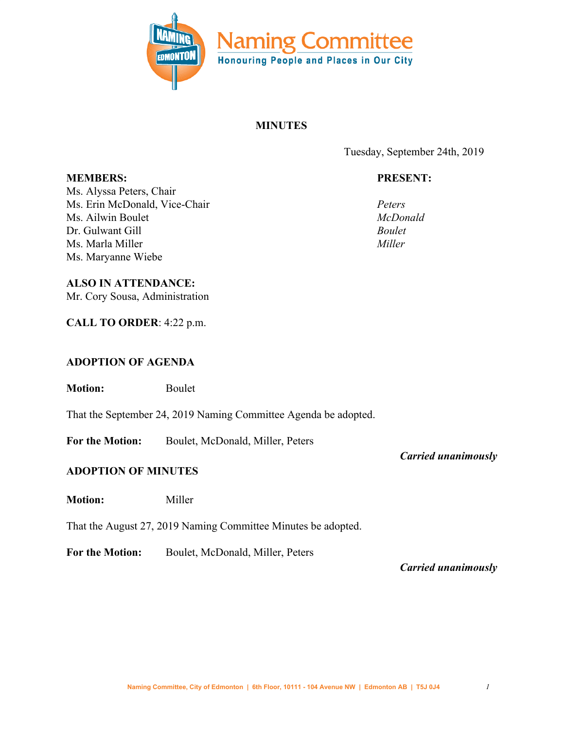

# **MINUTES**

Tuesday, September 24th, 2019

# **PRESENT:**

*Peters McDonald Boulet Miller*

Ms. Alyssa Peters, Chair Ms. Erin McDonald, Vice-Chair Ms. Ailwin Boulet Dr. Gulwant Gill Ms. Marla Miller Ms. Maryanne Wiebe

**MEMBERS:**

#### **ALSO IN ATTENDANCE:**

Mr. Cory Sousa, Administration

**CALL TO ORDER**: 4:22 p.m.

### **ADOPTION OF AGENDA**

**Motion:** Boulet

That the September 24, 2019 Naming Committee Agenda be adopted.

**For the Motion:** Boulet, McDonald, Miller, Peters

### **ADOPTION OF MINUTES**

**Motion:** Miller

That the August 27, 2019 Naming Committee Minutes be adopted.

**For the Motion:** Boulet, McDonald, Miller, Peters

*Carried unanimously*

*Carried unanimously*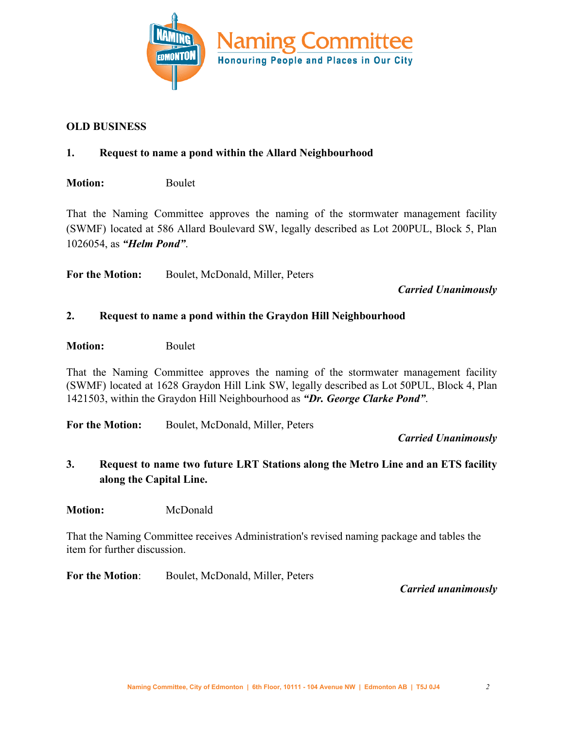

### **OLD BUSINESS**

# **1. Request to name a pond within the Allard Neighbourhood**

**Motion:** Boulet

That the Naming Committee approves the naming of the stormwater management facility (SWMF) located at 586 Allard Boulevard SW, legally described as Lot 200PUL, Block 5, Plan 1026054, as *"Helm Pond"*.

**For the Motion:** Boulet, McDonald, Miller, Peters

*Carried Unanimously*

#### **2. Request to name a pond within the Graydon Hill Neighbourhood**

**Motion:** Boulet

That the Naming Committee approves the naming of the stormwater management facility (SWMF) located at 1628 Graydon Hill Link SW, legally described as Lot 50PUL, Block 4, Plan 1421503, within the Graydon Hill Neighbourhood as *"Dr. George Clarke Pond"*.

**For the Motion:** Boulet, McDonald, Miller, Peters

*Carried Unanimously*

**3. Request to name two future LRT Stations along the Metro Line and an ETS facility along the Capital Line.**

**Motion:** McDonald

That the Naming Committee receives Administration's revised naming package and tables the item for further discussion.

**For the Motion**: Boulet, McDonald, Miller, Peters

*Carried unanimously*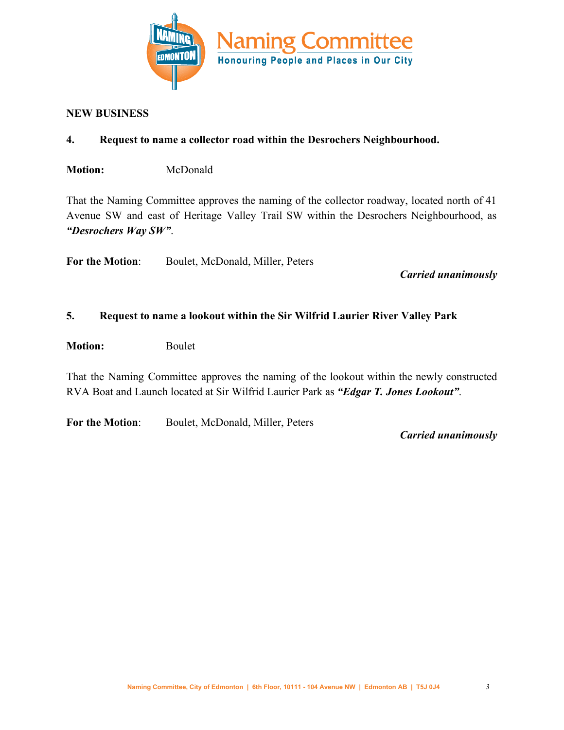

#### **NEW BUSINESS**

### **4. Request to name a collector road within the Desrochers Neighbourhood.**

**Motion:** McDonald

That the Naming Committee approves the naming of the collector roadway, located north of 41 Avenue SW and east of Heritage Valley Trail SW within the Desrochers Neighbourhood, as *"Desrochers Way SW"*.

**For the Motion**: Boulet, McDonald, Miller, Peters

*Carried unanimously*

### **5. Request to name a lookout within the Sir Wilfrid Laurier River Valley Park**

**Motion:** Boulet

That the Naming Committee approves the naming of the lookout within the newly constructed RVA Boat and Launch located at Sir Wilfrid Laurier Park as *"Edgar T. Jones Lookout"*.

**For the Motion**: Boulet, McDonald, Miller, Peters

*Carried unanimously*